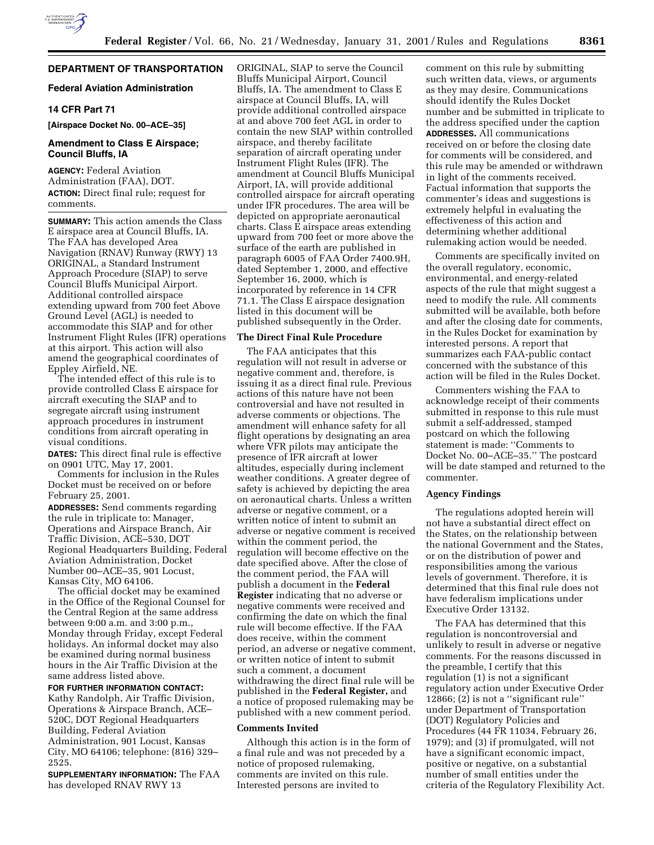

# **DEPARTMENT OF TRANSPORTATION**

## **Federal Aviation Administration**

## **14 CFR Part 71**

**[Airspace Docket No. 00–ACE–35]**

## **Amendment to Class E Airspace; Council Bluffs, IA**

**AGENCY:** Federal Aviation Administration (FAA), DOT. **ACTION:** Direct final rule; request for comments.

**SUMMARY:** This action amends the Class E airspace area at Council Bluffs, IA. The FAA has developed Area Navigation (RNAV) Runway (RWY) 13 ORIGINAL, a Standard Instrument Approach Procedure (SIAP) to serve Council Bluffs Municipal Airport. Additional controlled airspace extending upward from 700 feet Above Ground Level (AGL) is needed to accommodate this SIAP and for other Instrument Flight Rules (IFR) operations at this airport. This action will also amend the geographical coordinates of Eppley Airfield, NE.

The intended effect of this rule is to provide controlled Class E airspace for aircraft executing the SIAP and to segregate aircraft using instrument approach procedures in instrument conditions from aircraft operating in visual conditions.

**DATES:** This direct final rule is effective on 0901 UTC, May 17, 2001.

Comments for inclusion in the Rules Docket must be received on or before February 25, 2001.

**ADDRESSES:** Send comments regarding the rule in triplicate to: Manager, Operations and Airspace Branch, Air Traffic Division, ACE–530, DOT Regional Headquarters Building, Federal Aviation Administration, Docket Number 00–ACE–35, 901 Locust, Kansas City, MO 64106.

The official docket may be examined in the Office of the Regional Counsel for the Central Region at the same address between 9:00 a.m. and 3:00 p.m., Monday through Friday, except Federal holidays. An informal docket may also be examined during normal business hours in the Air Traffic Division at the same address listed above.

**FOR FURTHER INFORMATION CONTACT:**

Kathy Randolph, Air Traffic Division, Operations & Airspace Branch, ACE– 520C, DOT Regional Headquarters Building, Federal Aviation Administration, 901 Locust, Kansas City, MO 64106; telephone: (816) 329– 2525.

**SUPPLEMENTARY INFORMATION:** The FAA has developed RNAV RWY 13

ORIGINAL, SIAP to serve the Council Bluffs Municipal Airport, Council Bluffs, IA. The amendment to Class E airspace at Council Bluffs, IA, will provide additional controlled airspace at and above 700 feet AGL in order to contain the new SIAP within controlled airspace, and thereby facilitate separation of aircraft operating under Instrument Flight Rules (IFR). The amendment at Council Bluffs Municipal Airport, IA, will provide additional controlled airspace for aircraft operating under IFR procedures. The area will be depicted on appropriate aeronautical charts. Class E airspace areas extending upward from 700 feet or more above the surface of the earth are published in paragraph 6005 of FAA Order 7400.9H, dated September 1, 2000, and effective September 16, 2000, which is incorporated by reference in 14 CFR 71.1. The Class E airspace designation listed in this document will be published subsequently in the Order.

## **The Direct Final Rule Procedure**

The FAA anticipates that this regulation will not result in adverse or negative comment and, therefore, is issuing it as a direct final rule. Previous actions of this nature have not been controversial and have not resulted in adverse comments or objections. The amendment will enhance safety for all flight operations by designating an area where VFR pilots may anticipate the presence of IFR aircraft at lower altitudes, especially during inclement weather conditions. A greater degree of safety is achieved by depicting the area on aeronautical charts. Unless a written adverse or negative comment, or a written notice of intent to submit an adverse or negative comment is received within the comment period, the regulation will become effective on the date specified above. After the close of the comment period, the FAA will publish a document in the **Federal Register** indicating that no adverse or negative comments were received and confirming the date on which the final rule will become effective. If the FAA does receive, within the comment period, an adverse or negative comment, or written notice of intent to submit such a comment, a document withdrawing the direct final rule will be published in the **Federal Register,** and a notice of proposed rulemaking may be published with a new comment period.

#### **Comments Invited**

Although this action is in the form of a final rule and was not preceded by a notice of proposed rulemaking, comments are invited on this rule. Interested persons are invited to

comment on this rule by submitting such written data, views, or arguments as they may desire. Communications should identify the Rules Docket number and be submitted in triplicate to the address specified under the caption **ADDRESSES.** All communications received on or before the closing date for comments will be considered, and this rule may be amended or withdrawn in light of the comments received. Factual information that supports the commenter's ideas and suggestions is extremely helpful in evaluating the effectiveness of this action and determining whether additional rulemaking action would be needed.

Comments are specifically invited on the overall regulatory, economic, environmental, and energy-related aspects of the rule that might suggest a need to modify the rule. All comments submitted will be available, both before and after the closing date for comments, in the Rules Docket for examination by interested persons. A report that summarizes each FAA-public contact concerned with the substance of this action will be filed in the Rules Docket.

Commenters wishing the FAA to acknowledge receipt of their comments submitted in response to this rule must submit a self-addressed, stamped postcard on which the following statement is made: ''Comments to Docket No. 00–ACE–35.'' The postcard will be date stamped and returned to the commenter.

#### **Agency Findings**

The regulations adopted herein will not have a substantial direct effect on the States, on the relationship between the national Government and the States, or on the distribution of power and responsibilities among the various levels of government. Therefore, it is determined that this final rule does not have federalism implications under Executive Order 13132.

The FAA has determined that this regulation is noncontroversial and unlikely to result in adverse or negative comments. For the reasons discussed in the preamble, I certify that this regulation (1) is not a significant regulatory action under Executive Order 12866; (2) is not a ''significant rule'' under Department of Transportation (DOT) Regulatory Policies and Procedures (44 FR 11034, February 26, 1979); and (3) if promulgated, will not have a significant economic impact, positive or negative, on a substantial number of small entities under the criteria of the Regulatory Flexibility Act.